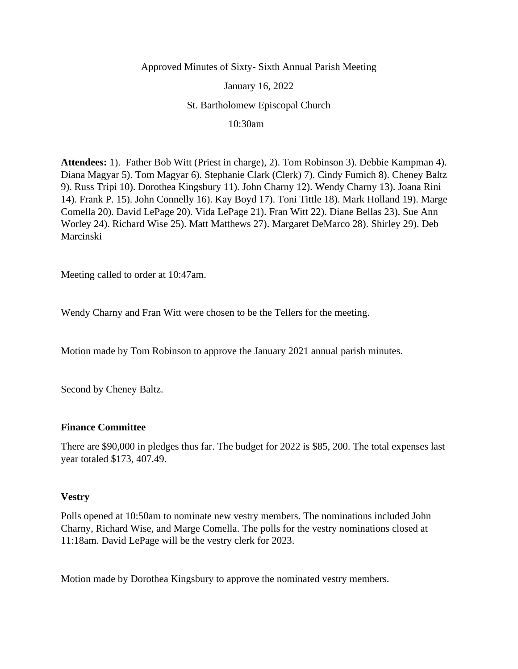## Approved Minutes of Sixty- Sixth Annual Parish Meeting

January 16, 2022

St. Bartholomew Episcopal Church

10:30am

**Attendees:** 1). Father Bob Witt (Priest in charge), 2). Tom Robinson 3). Debbie Kampman 4). Diana Magyar 5). Tom Magyar 6). Stephanie Clark (Clerk) 7). Cindy Fumich 8). Cheney Baltz 9). Russ Tripi 10). Dorothea Kingsbury 11). John Charny 12). Wendy Charny 13). Joana Rini 14). Frank P. 15). John Connelly 16). Kay Boyd 17). Toni Tittle 18). Mark Holland 19). Marge Comella 20). David LePage 20). Vida LePage 21). Fran Witt 22). Diane Bellas 23). Sue Ann Worley 24). Richard Wise 25). Matt Matthews 27). Margaret DeMarco 28). Shirley 29). Deb Marcinski

Meeting called to order at 10:47am.

Wendy Charny and Fran Witt were chosen to be the Tellers for the meeting.

Motion made by Tom Robinson to approve the January 2021 annual parish minutes.

Second by Cheney Baltz.

## **Finance Committee**

There are \$90,000 in pledges thus far. The budget for 2022 is \$85, 200. The total expenses last year totaled \$173, 407.49.

## **Vestry**

Polls opened at 10:50am to nominate new vestry members. The nominations included John Charny, Richard Wise, and Marge Comella. The polls for the vestry nominations closed at 11:18am. David LePage will be the vestry clerk for 2023.

Motion made by Dorothea Kingsbury to approve the nominated vestry members.